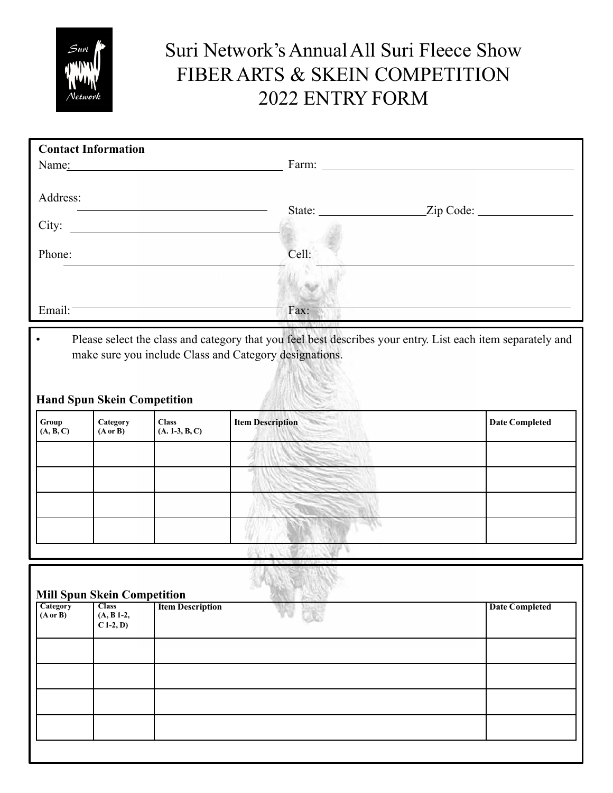

## Suri Network's Annual All Suri Fleece Show FIBER ARTS & SKEIN COMPETITION 2022 ENTRY FORM

| <b>Contact Information</b><br>Name: | Farm:         |  |
|-------------------------------------|---------------|--|
| Address:<br>City:                   | State: $\_\_$ |  |
| Phone:                              | Cell:         |  |
| Email:                              | Fax:          |  |

• Please select the class and category that you feel best describes your entry. List each item separately and make sure you include Class and Category designations.

## **Hand Spun Skein Competition**

| Group<br>(A, B, C) | Category<br>$(A \text{ or } B)$ | <b>Class</b><br>$(A. 1-3, B, C)$ | <b>COLLECTION</b><br><b>Item Description</b> | <b>Date Completed</b> |
|--------------------|---------------------------------|----------------------------------|----------------------------------------------|-----------------------|
|                    |                                 |                                  |                                              |                       |
|                    |                                 |                                  |                                              |                       |
|                    |                                 |                                  |                                              |                       |
|                    |                                 |                                  |                                              |                       |
|                    |                                 |                                  |                                              |                       |

| Category<br>$(A \text{ or } B)$ | <b>Class</b><br>$(A, B1-2,$<br>$C$ 1-2, D) | <b>Mill Spun Skein Competition</b><br><b>Item Description</b> | <b>Date Completed</b> |
|---------------------------------|--------------------------------------------|---------------------------------------------------------------|-----------------------|
|                                 |                                            |                                                               |                       |
|                                 |                                            |                                                               |                       |
|                                 |                                            |                                                               |                       |
|                                 |                                            |                                                               |                       |